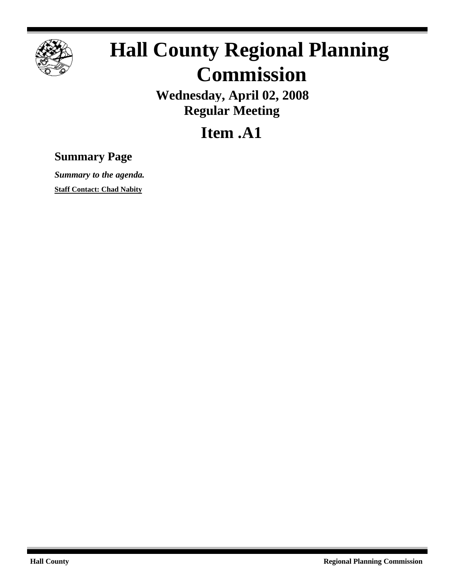

## **Hall County Regional Planning Commission**

**Wednesday, April 02, 2008 Regular Meeting**

**Item .A1**

## **Summary Page**

*Summary to the agenda.* **Staff Contact: Chad Nabity**